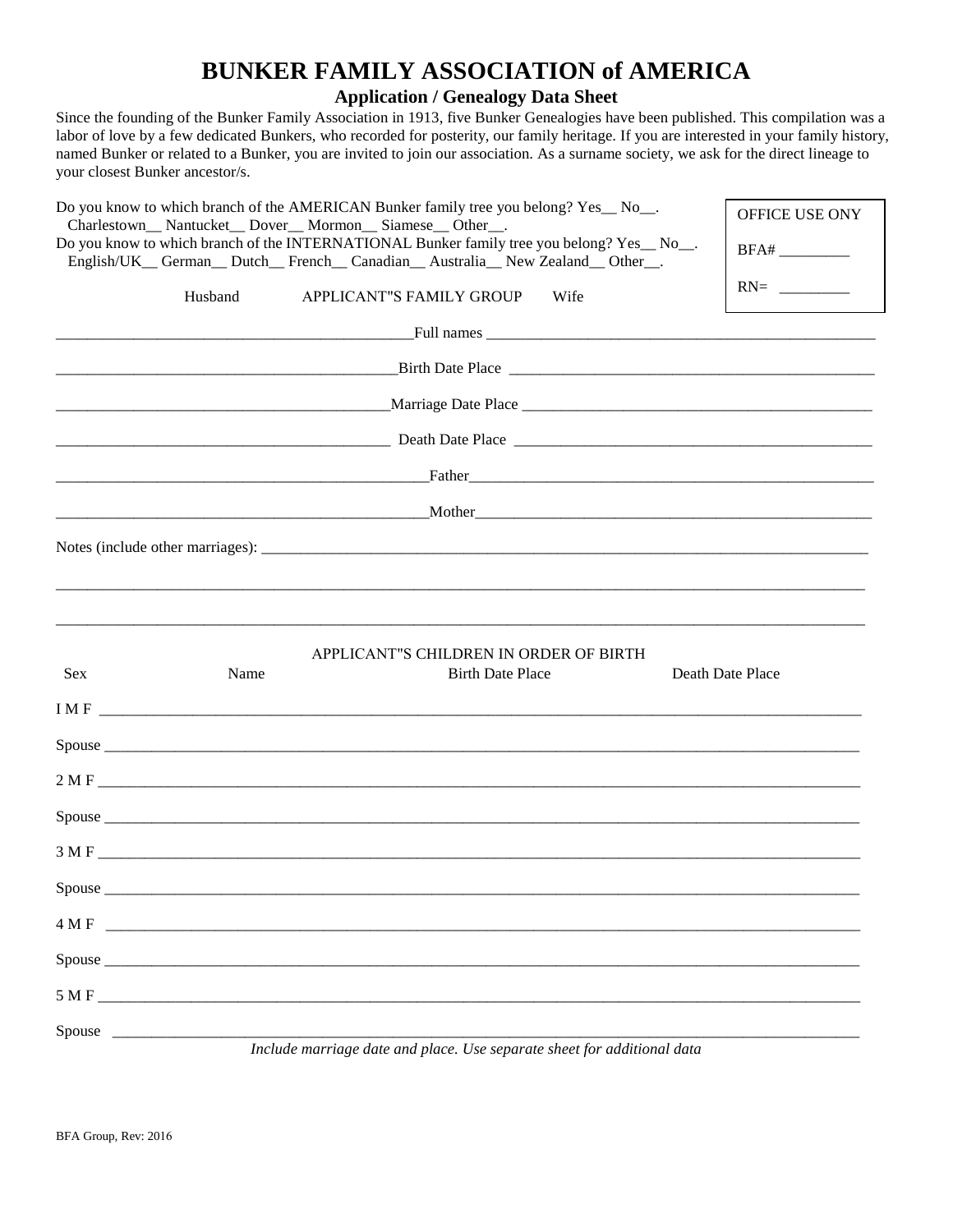## **BUNKER FAMILY ASSOCIATION of AMERICA**

**Application / Genealogy Data Sheet**

Since the founding of the Bunker Family Association in 1913, five Bunker Genealogies have been published. This compilation was a labor of love by a few dedicated Bunkers, who recorded for posterity, our family heritage. If you are interested in your family history, named Bunker or related to a Bunker, you are invited to join our association. As a surname society, we ask for the direct lineage to your closest Bunker ancestor/s.

| Do you know to which branch of the AMERICAN Bunker family tree you belong? Yes_No_.<br>Charlestown__ Nantucket__ Dover__ Mormon__ Siamese__ Other__.<br>Do you know to which branch of the INTERNATIONAL Bunker family tree you belong? Yes_No_. |         |                                                                                                                         | OFFICE USE ONY   |
|--------------------------------------------------------------------------------------------------------------------------------------------------------------------------------------------------------------------------------------------------|---------|-------------------------------------------------------------------------------------------------------------------------|------------------|
|                                                                                                                                                                                                                                                  |         | English/UK_German_Dutch_French_Canadian_Australia_New Zealand_Other_.                                                   |                  |
|                                                                                                                                                                                                                                                  | Husband | APPLICANT"S FAMILY GROUP<br>Wife                                                                                        | $RN =$           |
|                                                                                                                                                                                                                                                  |         |                                                                                                                         |                  |
|                                                                                                                                                                                                                                                  |         | $\blacksquare$ Birth Date Place $\blacksquare$                                                                          |                  |
|                                                                                                                                                                                                                                                  |         |                                                                                                                         |                  |
|                                                                                                                                                                                                                                                  |         | <u> Exercise Companion Companion and the Beach Date Place Companion and the Beach Companion and the Beach Companion</u> |                  |
|                                                                                                                                                                                                                                                  |         |                                                                                                                         |                  |
|                                                                                                                                                                                                                                                  |         |                                                                                                                         |                  |
|                                                                                                                                                                                                                                                  |         |                                                                                                                         |                  |
|                                                                                                                                                                                                                                                  |         |                                                                                                                         |                  |
| <b>Sex</b>                                                                                                                                                                                                                                       | Name    | APPLICANT"S CHILDREN IN ORDER OF BIRTH<br><b>Birth Date Place</b>                                                       | Death Date Place |
|                                                                                                                                                                                                                                                  |         | $IMF$                                                                                                                   |                  |
|                                                                                                                                                                                                                                                  |         |                                                                                                                         |                  |
|                                                                                                                                                                                                                                                  |         |                                                                                                                         |                  |
|                                                                                                                                                                                                                                                  |         |                                                                                                                         |                  |
|                                                                                                                                                                                                                                                  |         |                                                                                                                         |                  |
|                                                                                                                                                                                                                                                  |         |                                                                                                                         |                  |
| Spouse                                                                                                                                                                                                                                           |         |                                                                                                                         |                  |
|                                                                                                                                                                                                                                                  |         | 4 M F                                                                                                                   |                  |
|                                                                                                                                                                                                                                                  |         |                                                                                                                         |                  |
|                                                                                                                                                                                                                                                  |         |                                                                                                                         |                  |
| Spouse                                                                                                                                                                                                                                           |         | Include marriage date and place. Use separate sheet for additional data                                                 |                  |